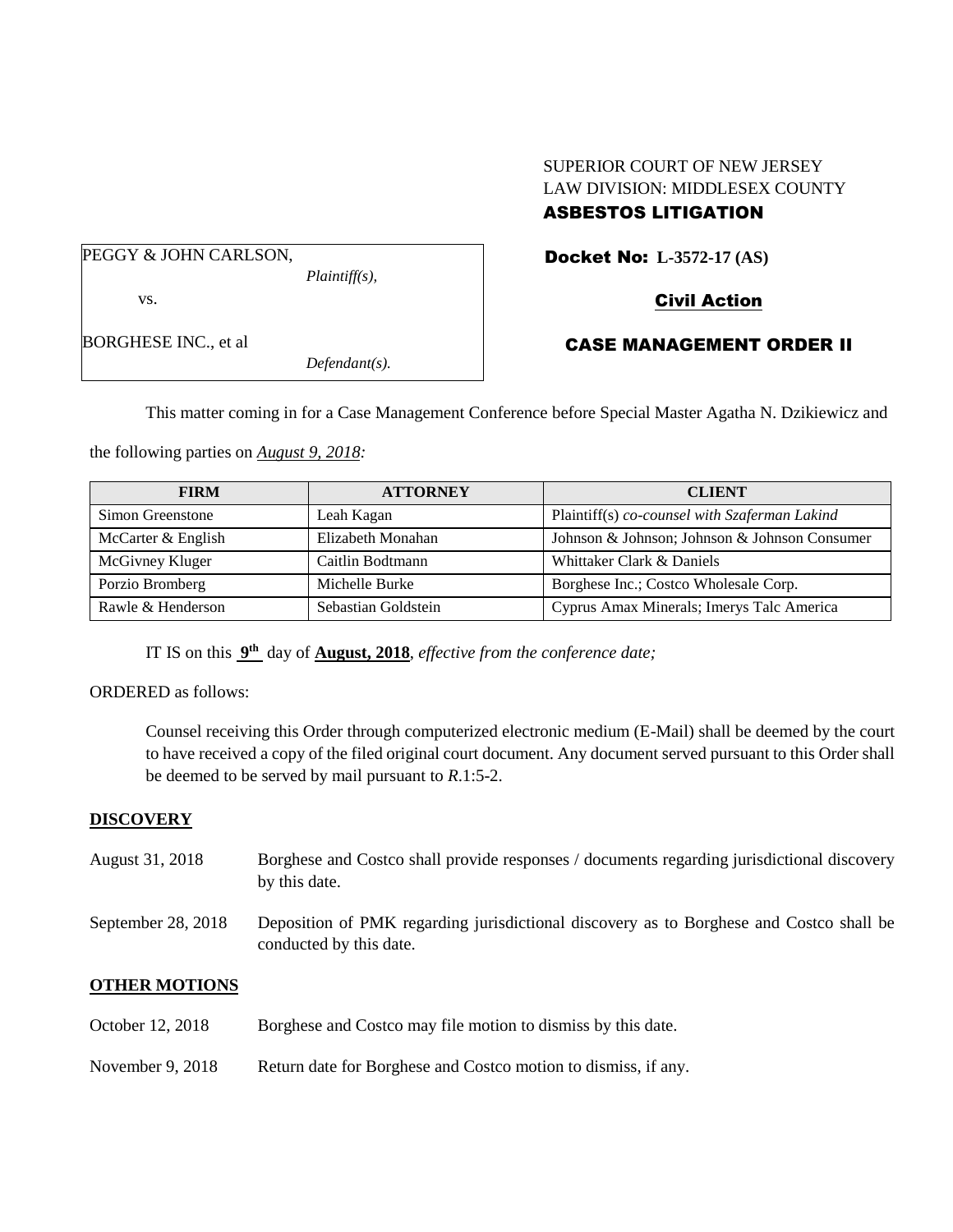#### SUPERIOR COURT OF NEW JERSEY LAW DIVISION: MIDDLESEX COUNTY ASBESTOS LITIGATION

CASE MANAGEMENT ORDER II

PEGGY & JOHN CARLSON,

*Plaintiff(s),*

vs.

Docket No: **L-3572-17 (AS)** 

Civil Action

BORGHESE INC., et al

*Defendant(s).*

This matter coming in for a Case Management Conference before Special Master Agatha N. Dzikiewicz and

the following parties on *August 9, 2018:*

| <b>FIRM</b>        | <b>ATTORNEY</b>     | <b>CLIENT</b>                                 |
|--------------------|---------------------|-----------------------------------------------|
| Simon Greenstone   | Leah Kagan          | Plaintiff(s) co-counsel with Szaferman Lakind |
| McCarter & English | Elizabeth Monahan   | Johnson & Johnson; Johnson & Johnson Consumer |
| McGivney Kluger    | Caitlin Bodtmann    | Whittaker Clark & Daniels                     |
| Porzio Bromberg    | Michelle Burke      | Borghese Inc.; Costco Wholesale Corp.         |
| Rawle & Henderson  | Sebastian Goldstein | Cyprus Amax Minerals; Imerys Talc America     |

IT IS on this **9 th** day of **August, 2018**, *effective from the conference date;*

ORDERED as follows:

Counsel receiving this Order through computerized electronic medium (E-Mail) shall be deemed by the court to have received a copy of the filed original court document. Any document served pursuant to this Order shall be deemed to be served by mail pursuant to *R*.1:5-2.

## **DISCOVERY**

- August 31, 2018 Borghese and Costco shall provide responses / documents regarding jurisdictional discovery by this date.
- September 28, 2018 Deposition of PMK regarding jurisdictional discovery as to Borghese and Costco shall be conducted by this date.

## **OTHER MOTIONS**

- October 12, 2018 Borghese and Costco may file motion to dismiss by this date.
- November 9, 2018 Return date for Borghese and Costco motion to dismiss, if any.